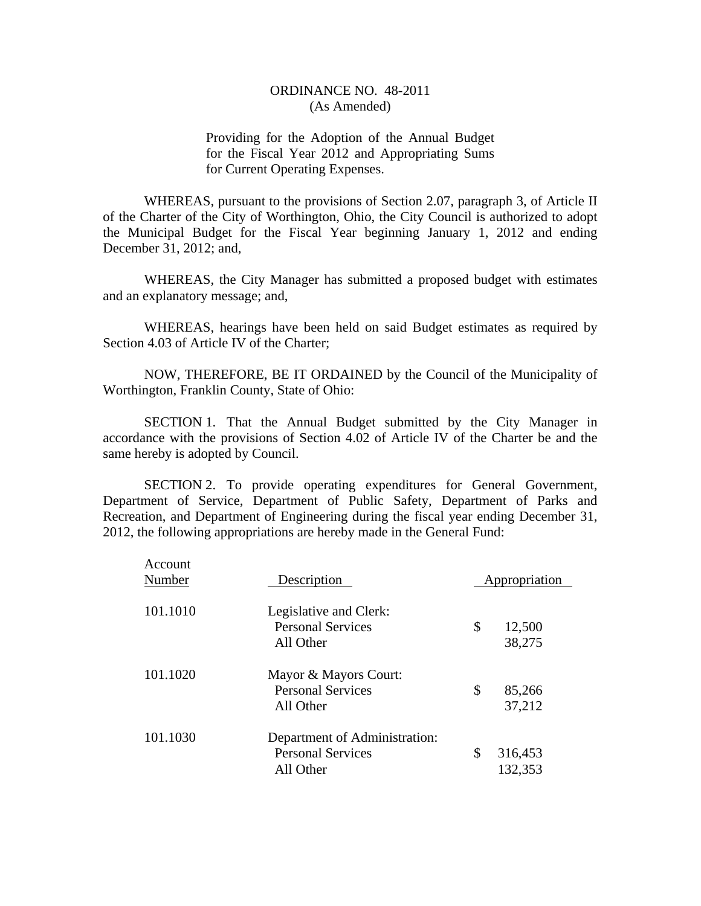Providing for the Adoption of the Annual Budget for the Fiscal Year 2012 and Appropriating Sums for Current Operating Expenses.

WHEREAS, pursuant to the provisions of Section 2.07, paragraph 3, of Article II of the Charter of the City of Worthington, Ohio, the City Council is authorized to adopt the Municipal Budget for the Fiscal Year beginning January 1, 2012 and ending December 31, 2012; and,

WHEREAS, the City Manager has submitted a proposed budget with estimates and an explanatory message; and,

WHEREAS, hearings have been held on said Budget estimates as required by Section 4.03 of Article IV of the Charter;

NOW, THEREFORE, BE IT ORDAINED by the Council of the Municipality of Worthington, Franklin County, State of Ohio:

SECTION 1. That the Annual Budget submitted by the City Manager in accordance with the provisions of Section 4.02 of Article IV of the Charter be and the same hereby is adopted by Council.

SECTION 2. To provide operating expenditures for General Government, Department of Service, Department of Public Safety, Department of Parks and Recreation, and Department of Engineering during the fiscal year ending December 31, 2012, the following appropriations are hereby made in the General Fund:

| Account<br>Number | Description                                                            | Appropriation            |  |
|-------------------|------------------------------------------------------------------------|--------------------------|--|
| 101.1010          | Legislative and Clerk:<br><b>Personal Services</b><br>All Other        | \$<br>12,500<br>38,275   |  |
| 101.1020          | Mayor & Mayors Court:<br><b>Personal Services</b><br>All Other         | \$<br>85,266<br>37,212   |  |
| 101.1030          | Department of Administration:<br><b>Personal Services</b><br>All Other | \$<br>316,453<br>132,353 |  |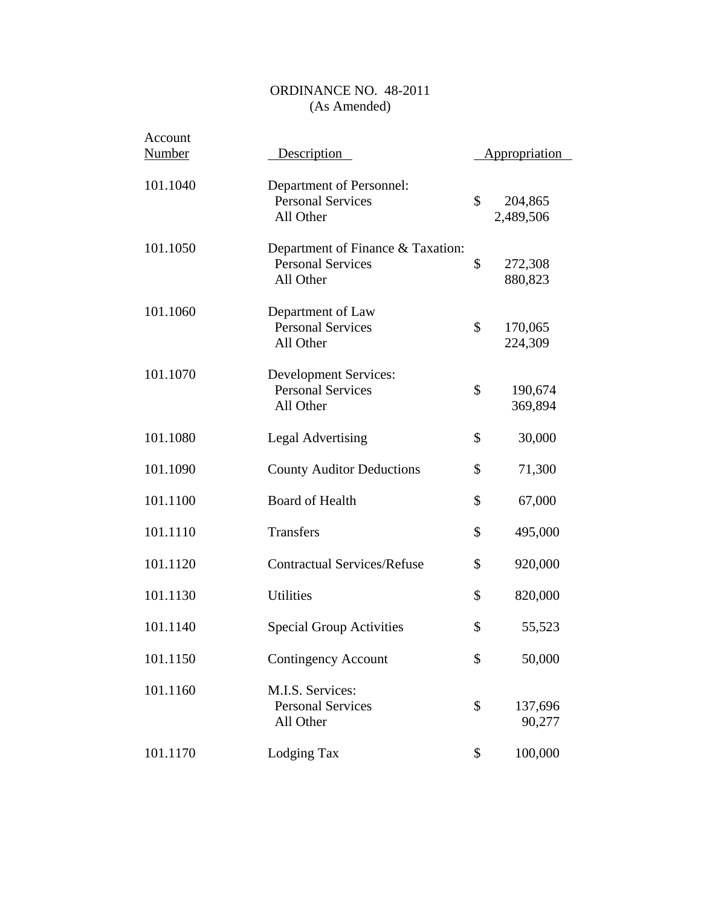| Account<br><b>Number</b> | Description                                                                | <b>Appropriation</b>       |
|--------------------------|----------------------------------------------------------------------------|----------------------------|
| 101.1040                 | Department of Personnel:<br><b>Personal Services</b><br>All Other          | \$<br>204,865<br>2,489,506 |
| 101.1050                 | Department of Finance & Taxation:<br><b>Personal Services</b><br>All Other | \$<br>272,308<br>880,823   |
| 101.1060                 | Department of Law<br><b>Personal Services</b><br>All Other                 | \$<br>170,065<br>224,309   |
| 101.1070                 | <b>Development Services:</b><br><b>Personal Services</b><br>All Other      | \$<br>190,674<br>369,894   |
| 101.1080                 | <b>Legal Advertising</b>                                                   | \$<br>30,000               |
| 101.1090                 | <b>County Auditor Deductions</b>                                           | \$<br>71,300               |
| 101.1100                 | <b>Board of Health</b>                                                     | \$<br>67,000               |
| 101.1110                 | Transfers                                                                  | \$<br>495,000              |
| 101.1120                 | <b>Contractual Services/Refuse</b>                                         | \$<br>920,000              |
| 101.1130                 | <b>Utilities</b>                                                           | \$<br>820,000              |
| 101.1140                 | <b>Special Group Activities</b>                                            | \$<br>55,523               |
| 101.1150                 | <b>Contingency Account</b>                                                 | \$<br>50,000               |
| 101.1160                 | M.I.S. Services:<br><b>Personal Services</b><br>All Other                  | \$<br>137,696<br>90,277    |
| 101.1170                 | Lodging Tax                                                                | \$<br>100,000              |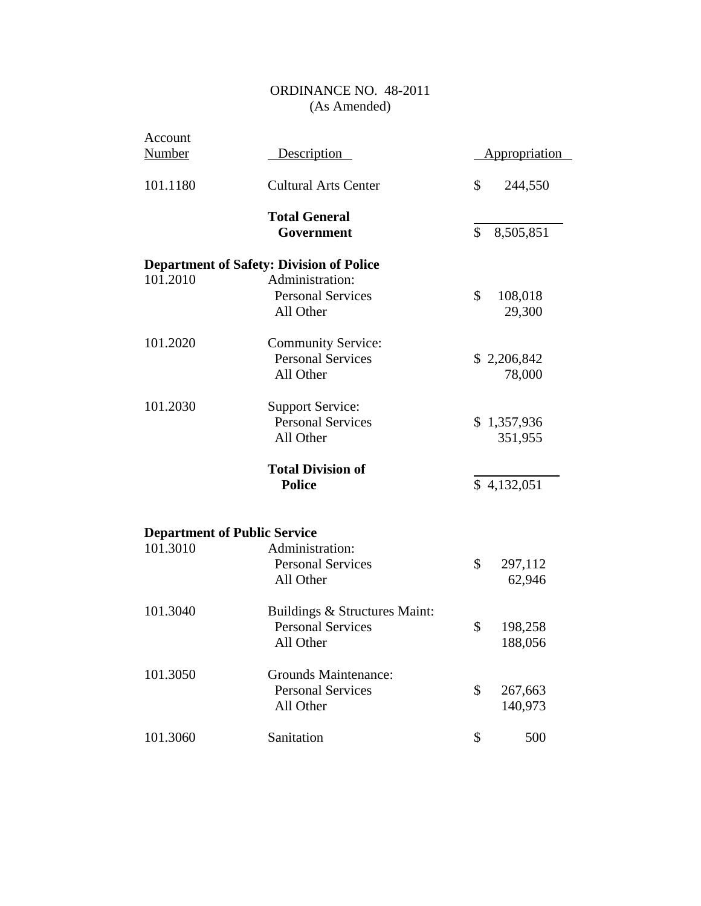| Account       |                                                        |                      |
|---------------|--------------------------------------------------------|----------------------|
| <b>Number</b> | Description                                            | <u>Appropriation</u> |
| 101.1180      | <b>Cultural Arts Center</b>                            | \$<br>244,550        |
|               | <b>Total General</b>                                   |                      |
|               | Government                                             | \$<br>8,505,851      |
|               | <b>Department of Safety: Division of Police</b>        |                      |
| 101.2010      | Administration:                                        |                      |
|               | <b>Personal Services</b>                               | \$<br>108,018        |
|               | All Other                                              | 29,300               |
| 101.2020      | <b>Community Service:</b>                              |                      |
|               | <b>Personal Services</b>                               | \$2,206,842          |
|               | All Other                                              | 78,000               |
| 101.2030      | <b>Support Service:</b>                                |                      |
|               | <b>Personal Services</b>                               | \$1,357,936          |
|               | All Other                                              | 351,955              |
|               | <b>Total Division of</b>                               |                      |
|               | <b>Police</b>                                          | \$4,132,051          |
|               |                                                        |                      |
| 101.3010      | <b>Department of Public Service</b><br>Administration: |                      |
|               |                                                        | \$                   |
|               | <b>Personal Services</b>                               | 297,112              |
|               | All Other                                              | 62,946               |
| 101.3040      | Buildings & Structures Maint:                          |                      |
|               | <b>Personal Services</b>                               | \$<br>198,258        |
|               | All Other                                              | 188,056              |
| 101.3050      | <b>Grounds Maintenance:</b>                            |                      |
|               | <b>Personal Services</b>                               | \$<br>267,663        |
|               | All Other                                              | 140,973              |
| 101.3060      | Sanitation                                             | \$<br>500            |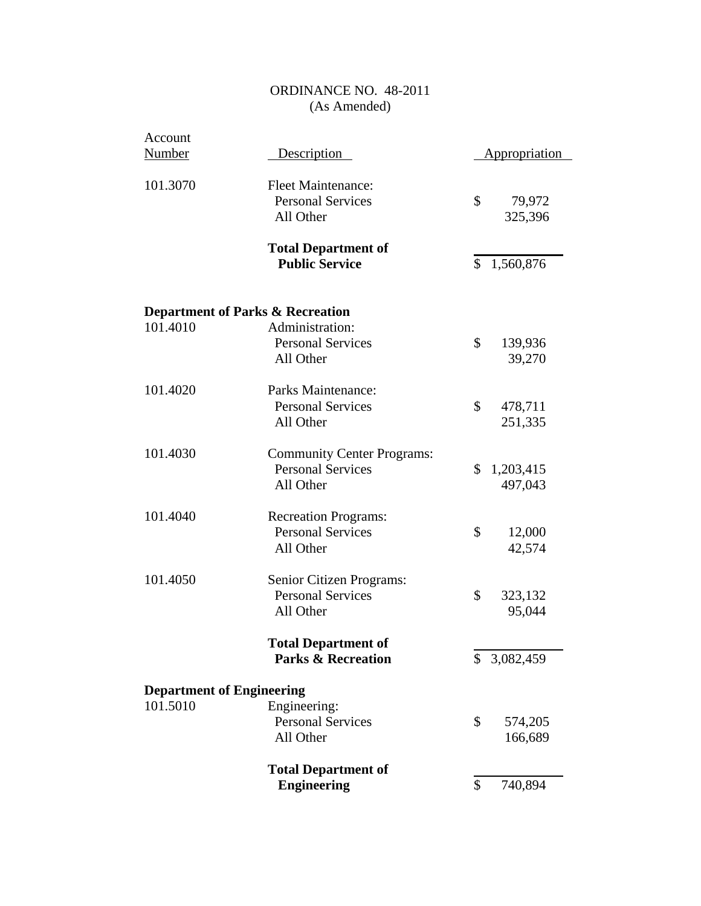| Account<br><b>Number</b>         | Description                                                                | Appropriation              |
|----------------------------------|----------------------------------------------------------------------------|----------------------------|
| 101.3070                         | <b>Fleet Maintenance:</b><br><b>Personal Services</b><br>All Other         | \$<br>79,972<br>325,396    |
|                                  | <b>Total Department of</b><br><b>Public Service</b>                        | \$<br>1,560,876            |
| 101.4010                         | <b>Department of Parks &amp; Recreation</b><br>Administration:             |                            |
|                                  | <b>Personal Services</b><br>All Other                                      | \$<br>139,936<br>39,270    |
| 101.4020                         | Parks Maintenance:<br><b>Personal Services</b><br>All Other                | \$<br>478,711<br>251,335   |
| 101.4030                         | <b>Community Center Programs:</b><br><b>Personal Services</b><br>All Other | \$<br>1,203,415<br>497,043 |
| 101.4040                         | <b>Recreation Programs:</b><br><b>Personal Services</b><br>All Other       | \$<br>12,000<br>42,574     |
| 101.4050                         | Senior Citizen Programs:<br><b>Personal Services</b><br>All Other          | \$<br>323,132<br>95,044    |
|                                  | <b>Total Department of</b><br><b>Parks &amp; Recreation</b>                | \$<br>3,082,459            |
| <b>Department of Engineering</b> |                                                                            |                            |
| 101.5010                         | Engineering:<br><b>Personal Services</b><br>All Other                      | \$<br>574,205<br>166,689   |
|                                  | <b>Total Department of</b><br><b>Engineering</b>                           | \$<br>740,894              |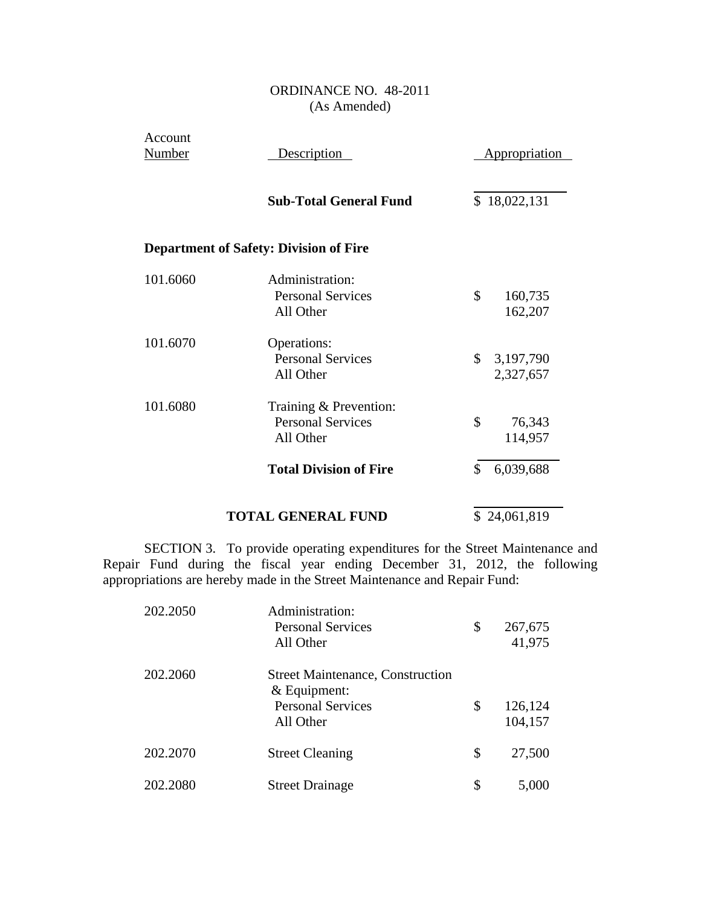| Account<br><b>Number</b> | Description                                                     | <b>Appropriation</b>         |
|--------------------------|-----------------------------------------------------------------|------------------------------|
|                          | <b>Sub-Total General Fund</b>                                   | \$18,022,131                 |
|                          | <b>Department of Safety: Division of Fire</b>                   |                              |
| 101.6060                 | Administration:<br><b>Personal Services</b><br>All Other        | \$<br>160,735<br>162,207     |
| 101.6070                 | Operations:<br><b>Personal Services</b><br>All Other            | \$<br>3,197,790<br>2,327,657 |
| 101.6080                 | Training & Prevention:<br><b>Personal Services</b><br>All Other | \$<br>76,343<br>114,957      |
|                          | <b>Total Division of Fire</b>                                   | \$<br>6,039,688              |
|                          | <b>TOTAL GENERAL FUND</b>                                       | \$24,061,819                 |

SECTION 3. To provide operating expenditures for the Street Maintenance and Repair Fund during the fiscal year ending December 31, 2012, the following appropriations are hereby made in the Street Maintenance and Repair Fund:

| 202.2050 | Administration:<br><b>Personal Services</b><br>All Other                                         | \$<br>267,675<br>41,975  |
|----------|--------------------------------------------------------------------------------------------------|--------------------------|
| 202.2060 | <b>Street Maintenance, Construction</b><br>& Equipment:<br><b>Personal Services</b><br>All Other | \$<br>126,124<br>104,157 |
| 202.2070 | <b>Street Cleaning</b>                                                                           | \$<br>27,500             |
| 202.2080 | <b>Street Drainage</b>                                                                           | \$<br>5,000              |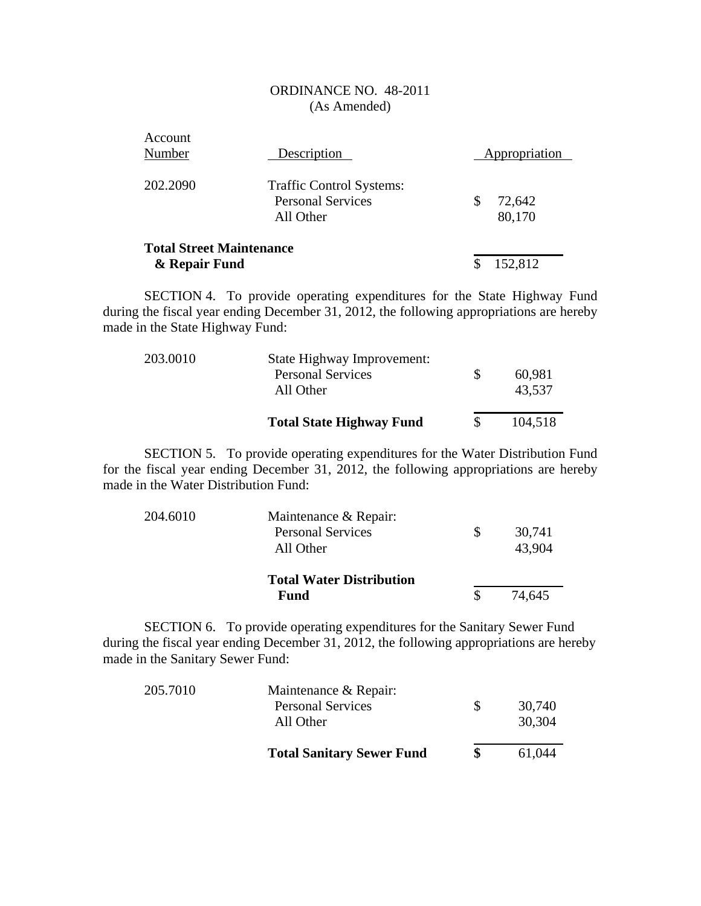| Account<br>Number                                | Description                                                              | Appropriation |                  |  |
|--------------------------------------------------|--------------------------------------------------------------------------|---------------|------------------|--|
| 202.2090                                         | <b>Traffic Control Systems:</b><br><b>Personal Services</b><br>All Other | \$            | 72,642<br>80,170 |  |
| <b>Total Street Maintenance</b><br>& Repair Fund |                                                                          |               | 152,812          |  |

SECTION 4. To provide operating expenditures for the State Highway Fund during the fiscal year ending December 31, 2012, the following appropriations are hereby made in the State Highway Fund:

| 203.0010 | State Highway Improvement:<br><b>Personal Services</b><br>All Other |    | 60,981<br>43,537 |
|----------|---------------------------------------------------------------------|----|------------------|
|          | <b>Total State Highway Fund</b>                                     | S. | 104,518          |

SECTION 5. To provide operating expenditures for the Water Distribution Fund for the fiscal year ending December 31, 2012, the following appropriations are hereby made in the Water Distribution Fund:

| 204.6010 | Maintenance & Repair:           |        |
|----------|---------------------------------|--------|
|          | <b>Personal Services</b>        | 30,741 |
|          | All Other                       | 43,904 |
|          | <b>Total Water Distribution</b> |        |
|          | Fund                            | 74.645 |

SECTION 6. To provide operating expenditures for the Sanitary Sewer Fund during the fiscal year ending December 31, 2012, the following appropriations are hereby made in the Sanitary Sewer Fund:

|          | <b>Total Sanitary Sewer Fund</b>      |          | 61.044           |
|----------|---------------------------------------|----------|------------------|
|          | <b>Personal Services</b><br>All Other | <b>S</b> | 30,740<br>30,304 |
| 205.7010 | Maintenance & Repair:                 |          |                  |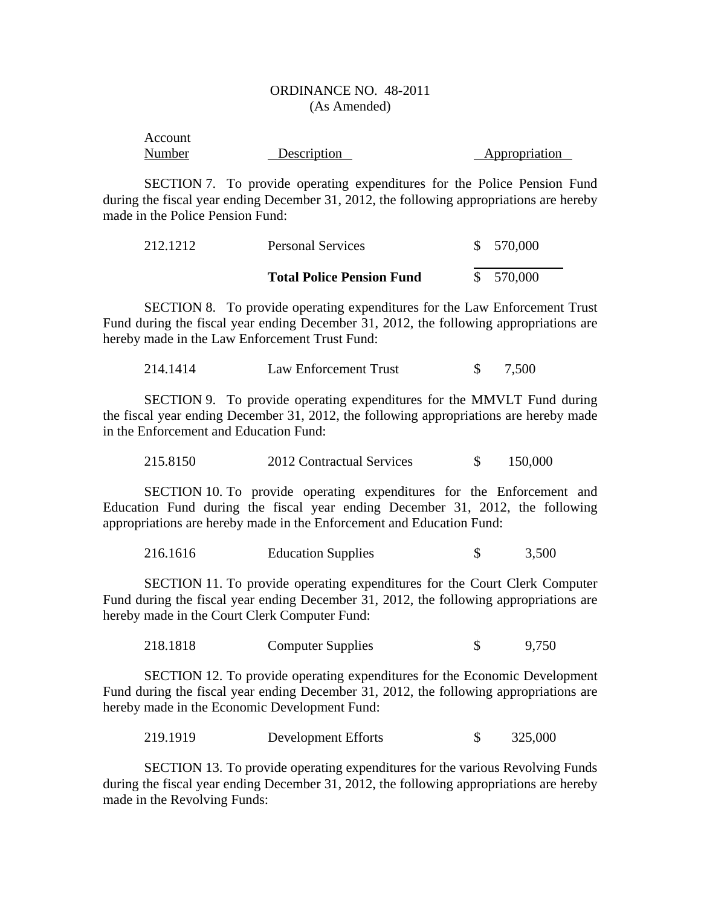| Account |             |               |
|---------|-------------|---------------|
| Number  | Description | Appropriation |

SECTION 7. To provide operating expenditures for the Police Pension Fund during the fiscal year ending December 31, 2012, the following appropriations are hereby made in the Police Pension Fund:

| 212.1212 | <b>Personal Services</b>         | \$570,000 |
|----------|----------------------------------|-----------|
|          | <b>Total Police Pension Fund</b> | \$570,000 |

SECTION 8. To provide operating expenditures for the Law Enforcement Trust Fund during the fiscal year ending December 31, 2012, the following appropriations are hereby made in the Law Enforcement Trust Fund:

| 214.1414 | Law Enforcement Trust |  | 7,500 |
|----------|-----------------------|--|-------|
|----------|-----------------------|--|-------|

SECTION 9. To provide operating expenditures for the MMVLT Fund during the fiscal year ending December 31, 2012, the following appropriations are hereby made in the Enforcement and Education Fund:

215.8150 2012 Contractual Services \$ 150,000

SECTION 10. To provide operating expenditures for the Enforcement and Education Fund during the fiscal year ending December 31, 2012, the following appropriations are hereby made in the Enforcement and Education Fund:

216.1616 Education Supplies \$ 3,500

SECTION 11. To provide operating expenditures for the Court Clerk Computer Fund during the fiscal year ending December 31, 2012, the following appropriations are hereby made in the Court Clerk Computer Fund:

218.1818 Computer Supplies \$ 9,750

SECTION 12. To provide operating expenditures for the Economic Development Fund during the fiscal year ending December 31, 2012, the following appropriations are hereby made in the Economic Development Fund:

219.1919 Development Efforts \$ 325,000

SECTION 13. To provide operating expenditures for the various Revolving Funds during the fiscal year ending December 31, 2012, the following appropriations are hereby made in the Revolving Funds: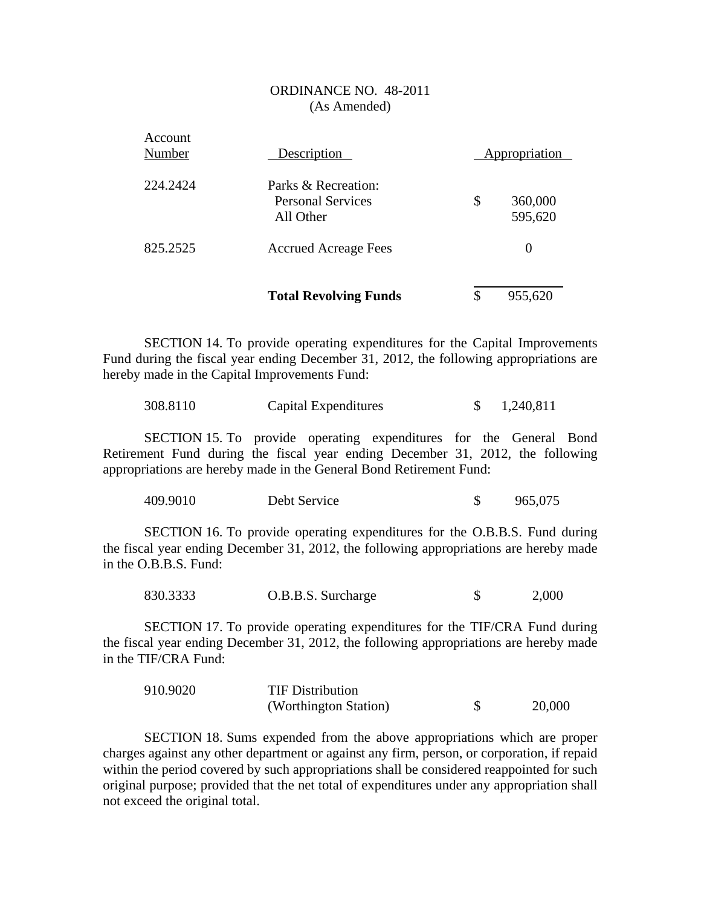|                   | <b>Total Revolving Funds</b>                                 | \$<br>955,620            |  |
|-------------------|--------------------------------------------------------------|--------------------------|--|
| 825.2525          | <b>Accrued Acreage Fees</b>                                  | $\Omega$                 |  |
| 224.2424          | Parks & Recreation:<br><b>Personal Services</b><br>All Other | \$<br>360,000<br>595,620 |  |
| Account<br>Number | Description                                                  | Appropriation            |  |

SECTION 14. To provide operating expenditures for the Capital Improvements Fund during the fiscal year ending December 31, 2012, the following appropriations are hereby made in the Capital Improvements Fund:

| 308.8110 | Capital Expenditures |  | 1,240,811 |
|----------|----------------------|--|-----------|
|----------|----------------------|--|-----------|

SECTION 15. To provide operating expenditures for the General Bond Retirement Fund during the fiscal year ending December 31, 2012, the following appropriations are hereby made in the General Bond Retirement Fund:

| 409.9010 | Debt Service |  | 965,075 |
|----------|--------------|--|---------|
|----------|--------------|--|---------|

SECTION 16. To provide operating expenditures for the O.B.B.S. Fund during the fiscal year ending December 31, 2012, the following appropriations are hereby made in the O.B.B.S. Fund:

830.3333 O.B.B.S. Surcharge \$ 2,000

SECTION 17. To provide operating expenditures for the TIF/CRA Fund during the fiscal year ending December 31, 2012, the following appropriations are hereby made in the TIF/CRA Fund:

| 910.9020 | <b>TIF Distribution</b> |        |
|----------|-------------------------|--------|
|          | (Worthington Station)   | 20,000 |

SECTION 18. Sums expended from the above appropriations which are proper charges against any other department or against any firm, person, or corporation, if repaid within the period covered by such appropriations shall be considered reappointed for such original purpose; provided that the net total of expenditures under any appropriation shall not exceed the original total.